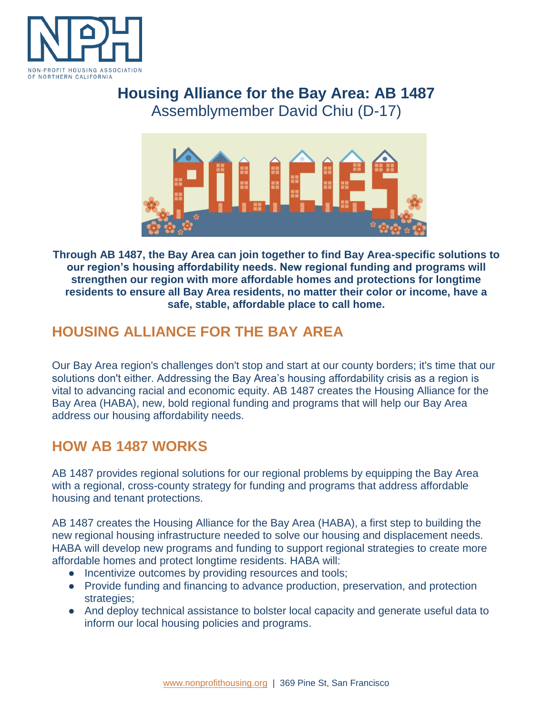

# **Housing Alliance for the Bay Area: AB 1487** Assemblymember David Chiu (D-17)



**Through AB 1487, the Bay Area can join together to find Bay Area-specific solutions to our region's housing affordability needs. New regional funding and programs will strengthen our region with more affordable homes and protections for longtime residents to ensure all Bay Area residents, no matter their color or income, have a safe, stable, affordable place to call home.**

# **HOUSING ALLIANCE FOR THE BAY AREA**

Our Bay Area region's challenges don't stop and start at our county borders; it's time that our solutions don't either. Addressing the Bay Area's housing affordability crisis as a region is vital to advancing racial and economic equity. AB 1487 creates the Housing Alliance for the Bay Area (HABA), new, bold regional funding and programs that will help our Bay Area address our housing affordability needs.

#### **HOW AB 1487 WORKS**

AB 1487 provides regional solutions for our regional problems by equipping the Bay Area with a regional, cross-county strategy for funding and programs that address affordable housing and tenant protections.

AB 1487 creates the Housing Alliance for the Bay Area (HABA), a first step to building the new regional housing infrastructure needed to solve our housing and displacement needs. HABA will develop new programs and funding to support regional strategies to create more affordable homes and protect longtime residents. HABA will:

- Incentivize outcomes by providing resources and tools;
- Provide funding and financing to advance production, preservation, and protection strategies;
- And deploy technical assistance to bolster local capacity and generate useful data to inform our local housing policies and programs.